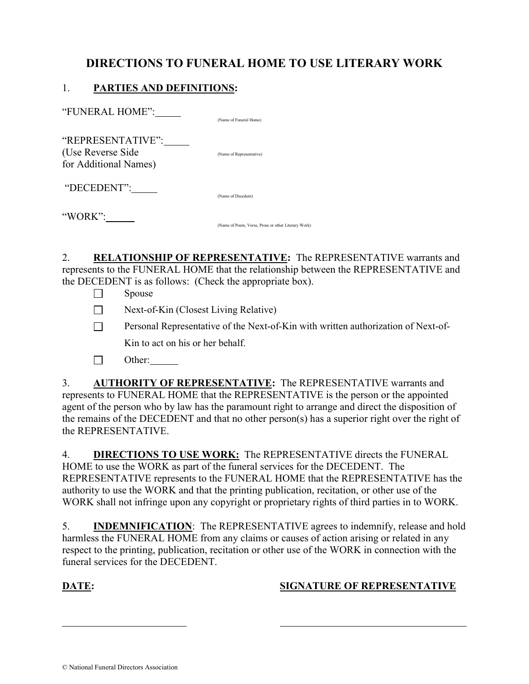# DIRECTIONS TO FUNERAL HOME TO USE LITERARY WORK

### 1. PARTIES AND DEFINITIONS:

| "FUNERAL HOME":                                                  | (Name of Funeral Home)   |
|------------------------------------------------------------------|--------------------------|
| "REPRESENTATIVE":<br>(Use Reverse Side)<br>for Additional Names) | (Name of Representative) |
| "DECEDENT":                                                      | (Name of Decedent)       |
| "WORK":                                                          |                          |

2. RELATIONSHIP OF REPRESENTATIVE: The REPRESENTATIVE warrants and represents to the FUNERAL HOME that the relationship between the REPRESENTATIVE and the DECEDENT is as follows: (Check the appropriate box).

(Name of Poem, Verse, Prose or other Literary Work)

- $\Box$  Spouse
- $\Box$  Next-of-Kin (Closest Living Relative)
- **Personal Representative of the Next-of-Kin with written authorization of Next-of-**Kin to act on his or her behalf.
- $\Box$  Other:

3. AUTHORITY OF REPRESENTATIVE: The REPRESENTATIVE warrants and represents to FUNERAL HOME that the REPRESENTATIVE is the person or the appointed agent of the person who by law has the paramount right to arrange and direct the disposition of the remains of the DECEDENT and that no other person(s) has a superior right over the right of the REPRESENTATIVE.

4. DIRECTIONS TO USE WORK: The REPRESENTATIVE directs the FUNERAL HOME to use the WORK as part of the funeral services for the DECEDENT. The REPRESENTATIVE represents to the FUNERAL HOME that the REPRESENTATIVE has the authority to use the WORK and that the printing publication, recitation, or other use of the WORK shall not infringe upon any copyright or proprietary rights of third parties in to WORK.

5. INDEMNIFICATION: The REPRESENTATIVE agrees to indemnify, release and hold harmless the FUNERAL HOME from any claims or causes of action arising or related in any respect to the printing, publication, recitation or other use of the WORK in connection with the funeral services for the DECEDENT.

l

### DATE: SIGNATURE OF REPRESENTATIVE